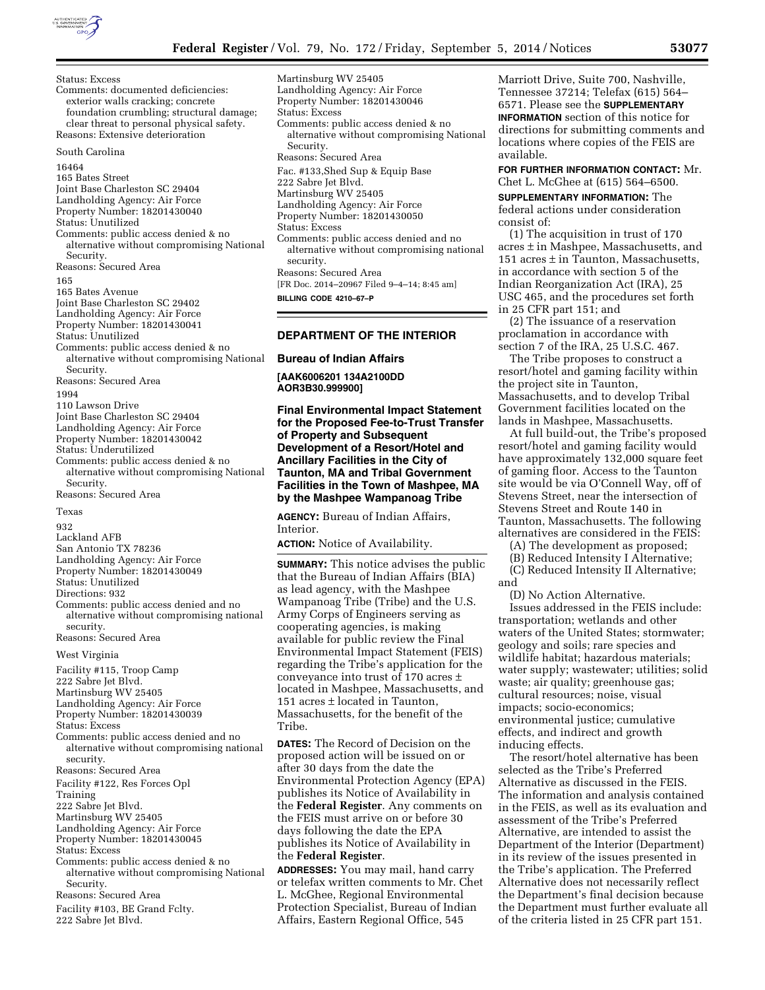

Status: Excess Comments: documented deficiencies: exterior walls cracking; concrete foundation crumbling; structural damage; clear threat to personal physical safety. Reasons: Extensive deterioration South Carolina 16464 165 Bates Street Joint Base Charleston SC 29404 Landholding Agency: Air Force Property Number: 18201430040 Status: Unutilized Comments: public access denied & no alternative without compromising National Security. Reasons: Secured Area 165 165 Bates Avenue Joint Base Charleston SC 29402 Landholding Agency: Air Force Property Number: 18201430041 Status: Unutilized Comments: public access denied & no alternative without compromising National Security. Reasons: Secured Area 1994 110 Lawson Drive Joint Base Charleston SC 29404 Landholding Agency: Air Force Property Number: 18201430042 Status: Underutilized Comments: public access denied & no alternative without compromising National Security. Reasons: Secured Area Texas 932

Lackland AFB San Antonio TX 78236 Landholding Agency: Air Force Property Number: 18201430049 Status: Unutilized Directions: 932 Comments: public access denied and no alternative without compromising national security.

Reasons: Secured Area

West Virginia

- Facility #115, Troop Camp
- 222 Sabre Jet Blvd.
- Martinsburg WV 25405
- Landholding Agency: Air Force
- Property Number: 18201430039
- Status: Excess
- Comments: public access denied and no alternative without compromising national security.
- Reasons: Secured Area

Facility #122, Res Forces Opl

Training

- 222 Sabre Jet Blvd.
- Martinsburg WV 25405
- Landholding Agency: Air Force
- Property Number: 18201430045
- Status: Excess
- Comments: public access denied & no alternative without compromising National Security.
- Reasons: Secured Area
- Facility #103, BE Grand Fclty.
- 222 Sabre Jet Blvd.

Martinsburg WV 25405 Landholding Agency: Air Force Property Number: 18201430046 Status: Excess Comments: public access denied & no alternative without compromising National Security. Reasons: Secured Area Fac. #133,Shed Sup & Equip Base 222 Sabre Jet Blyd. Martinsburg WV 25405 Landholding Agency: Air Force Property Number: 18201430050 Status: Excess Comments: public access denied and no alternative without compromising national security. Reasons: Secured Area [FR Doc. 2014–20967 Filed 9–4–14; 8:45 am] **BILLING CODE 4210–67–P** 

# **DEPARTMENT OF THE INTERIOR**

**Bureau of Indian Affairs** 

**[AAK6006201 134A2100DD AOR3B30.999900]** 

**Final Environmental Impact Statement for the Proposed Fee-to-Trust Transfer of Property and Subsequent Development of a Resort/Hotel and Ancillary Facilities in the City of Taunton, MA and Tribal Government Facilities in the Town of Mashpee, MA by the Mashpee Wampanoag Tribe** 

**AGENCY:** Bureau of Indian Affairs, Interior.

**ACTION:** Notice of Availability.

**SUMMARY:** This notice advises the public that the Bureau of Indian Affairs (BIA) as lead agency, with the Mashpee Wampanoag Tribe (Tribe) and the U.S. Army Corps of Engineers serving as cooperating agencies, is making available for public review the Final Environmental Impact Statement (FEIS) regarding the Tribe's application for the conveyance into trust of 170 acres ± located in Mashpee, Massachusetts, and 151 acres ± located in Taunton, Massachusetts, for the benefit of the Tribe.

**DATES:** The Record of Decision on the proposed action will be issued on or after 30 days from the date the Environmental Protection Agency (EPA) publishes its Notice of Availability in the **Federal Register**. Any comments on the FEIS must arrive on or before 30 days following the date the EPA publishes its Notice of Availability in the **Federal Register**.

**ADDRESSES:** You may mail, hand carry or telefax written comments to Mr. Chet L. McGhee, Regional Environmental Protection Specialist, Bureau of Indian Affairs, Eastern Regional Office, 545

Marriott Drive, Suite 700, Nashville, Tennessee 37214; Telefax (615) 564– 6571. Please see the **SUPPLEMENTARY INFORMATION** section of this notice for directions for submitting comments and locations where copies of the FEIS are available.

**FOR FURTHER INFORMATION CONTACT:** Mr. Chet L. McGhee at (615) 564–6500.

**SUPPLEMENTARY INFORMATION:** The federal actions under consideration consist of:

(1) The acquisition in trust of 170 acres ± in Mashpee, Massachusetts, and 151 acres  $\pm$  in Taunton, Massachusetts, in accordance with section 5 of the Indian Reorganization Act (IRA), 25 USC 465, and the procedures set forth in 25 CFR part 151; and

(2) The issuance of a reservation proclamation in accordance with section 7 of the IRA, 25 U.S.C. 467.

The Tribe proposes to construct a resort/hotel and gaming facility within the project site in Taunton, Massachusetts, and to develop Tribal Government facilities located on the lands in Mashpee, Massachusetts.

At full build-out, the Tribe's proposed resort/hotel and gaming facility would have approximately 132,000 square feet of gaming floor. Access to the Taunton site would be via O'Connell Way, off of Stevens Street, near the intersection of Stevens Street and Route 140 in Taunton, Massachusetts. The following alternatives are considered in the FEIS:

(A) The development as proposed;

(B) Reduced Intensity I Alternative; (C) Reduced Intensity II Alternative;

and

(D) No Action Alternative. Issues addressed in the FEIS include: transportation; wetlands and other waters of the United States; stormwater; geology and soils; rare species and wildlife habitat; hazardous materials; water supply; wastewater; utilities; solid waste; air quality; greenhouse gas; cultural resources; noise, visual impacts; socio-economics; environmental justice; cumulative effects, and indirect and growth inducing effects.

The resort/hotel alternative has been selected as the Tribe's Preferred Alternative as discussed in the FEIS. The information and analysis contained in the FEIS, as well as its evaluation and assessment of the Tribe's Preferred Alternative, are intended to assist the Department of the Interior (Department) in its review of the issues presented in the Tribe's application. The Preferred Alternative does not necessarily reflect the Department's final decision because the Department must further evaluate all of the criteria listed in 25 CFR part 151.